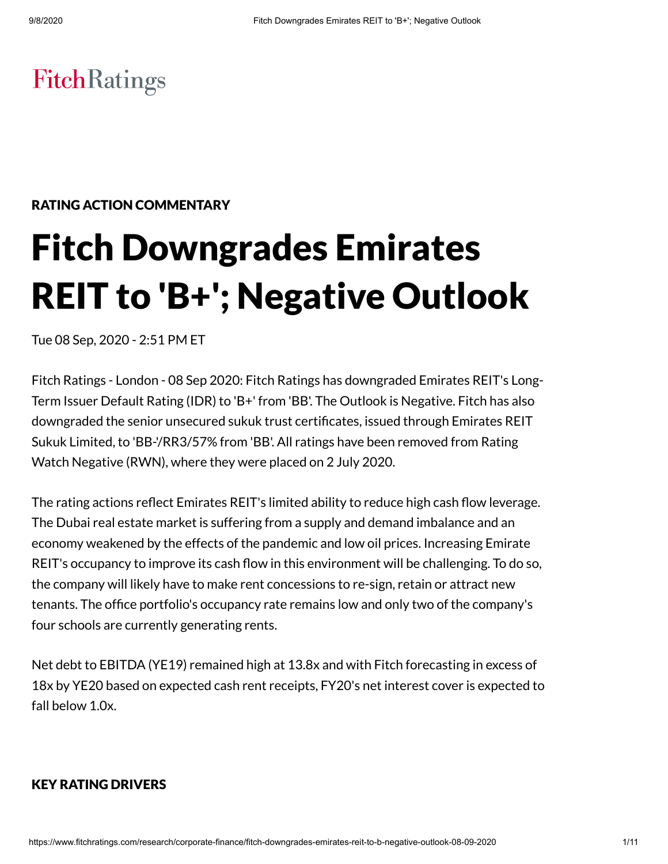# **FitchRatings**

#### RATING ACTION COMMENTARY

# Fitch Downgrades Emirates REIT to 'B+'; Negative Outlook

Tue 08 Sep, 2020 - 2:51 PM ET

Fitch Ratings - London - 08 Sep 2020: Fitch Ratings has downgraded Emirates REIT's Long-Term Issuer Default Rating (IDR) to 'B+' from 'BB'. The Outlook is Negative. Fitch has also downgraded the senior unsecured sukuk trust certificates, issued through Emirates REIT Sukuk Limited, to 'BB-'/RR3/57% from 'BB'. All ratings have been removed from Rating Watch Negative (RWN), where they were placed on 2 July 2020.

The rating actions reflect Emirates REIT's limited ability to reduce high cash flow leverage. The Dubai real estate market is suffering from a supply and demand imbalance and an economy weakened by the effects of the pandemic and low oil prices. Increasing Emirate REIT's occupancy to improve its cash flow in this environment will be challenging. To do so, the company will likely have to make rent concessions to re-sign, retain or attract new tenants. The office portfolio's occupancy rate remains low and only two of the company's four schools are currently generating rents.

Net debt to EBITDA (YE19) remained high at 13.8x and with Fitch forecasting in excess of 18x by YE20 based on expected cash rent receipts, FY20's net interest cover is expected to fall below 1.0x.

#### KEY RATING DRIVERS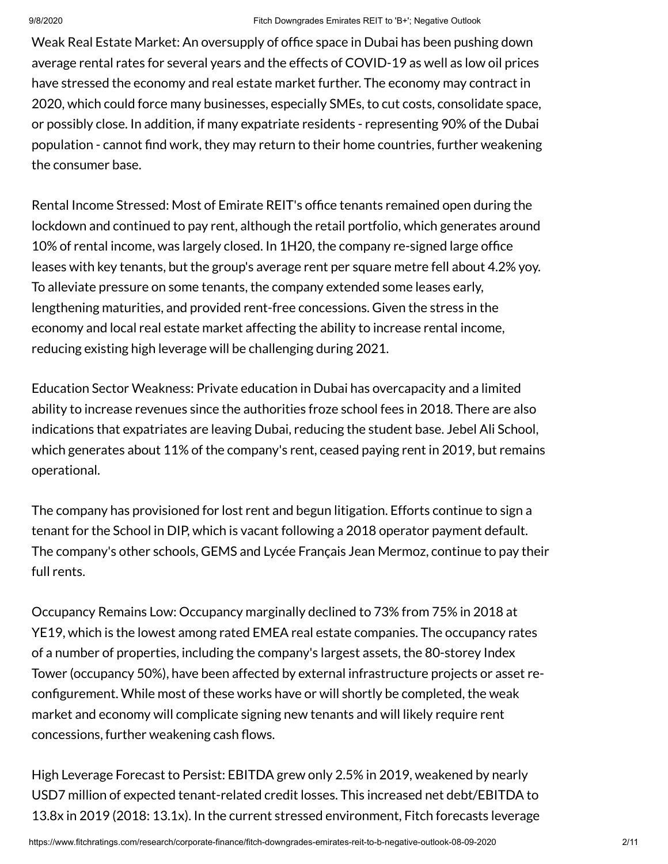Weak Real Estate Market: An oversupply of office space in Dubai has been pushing down average rental rates for several years and the effects of COVID-19 as well as low oil prices have stressed the economy and real estate market further. The economy may contract in 2020, which could force many businesses, especially SMEs, to cut costs, consolidate space, or possibly close. In addition, if many expatriate residents - representing 90% of the Dubai population - cannot find work, they may return to their home countries, further weakening the consumer base.

Rental Income Stressed: Most of Emirate REIT's office tenants remained open during the lockdown and continued to pay rent, although the retail portfolio, which generates around 10% of rental income, was largely closed. In 1H20, the company re-signed large office leases with key tenants, but the group's average rent per square metre fell about 4.2% yoy. To alleviate pressure on some tenants, the company extended some leases early, lengthening maturities, and provided rent-free concessions. Given the stress in the economy and local real estate market affecting the ability to increase rental income, reducing existing high leverage will be challenging during 2021.

Education Sector Weakness: Private education in Dubai has overcapacity and a limited ability to increase revenues since the authorities froze school fees in 2018. There are also indications that expatriates are leaving Dubai, reducing the student base. Jebel Ali School, which generates about 11% of the company's rent, ceased paying rent in 2019, but remains operational.

The company has provisioned for lost rent and begun litigation. Efforts continue to sign a tenant for the School in DIP, which is vacant following a 2018 operator payment default. The company's other schools, GEMS and Lycée Français Jean Mermoz, continue to pay their full rents.

Occupancy Remains Low: Occupancy marginally declined to 73% from 75% in 2018 at YE19, which is the lowest among rated EMEA real estate companies. The occupancy rates of a number of properties, including the company's largest assets, the 80-storey Index Tower (occupancy 50%), have been affected by external infrastructure projects or asset reconfigurement. While most of these works have or will shortly be completed, the weak market and economy will complicate signing new tenants and will likely require rent concessions, further weakening cash flows.

High Leverage Forecast to Persist: EBITDA grew only 2.5% in 2019, weakened by nearly USD7 million of expected tenant-related credit losses. This increased net debt/EBITDA to 13.8x in 2019 (2018: 13.1x). In the current stressed environment, Fitch forecasts leverage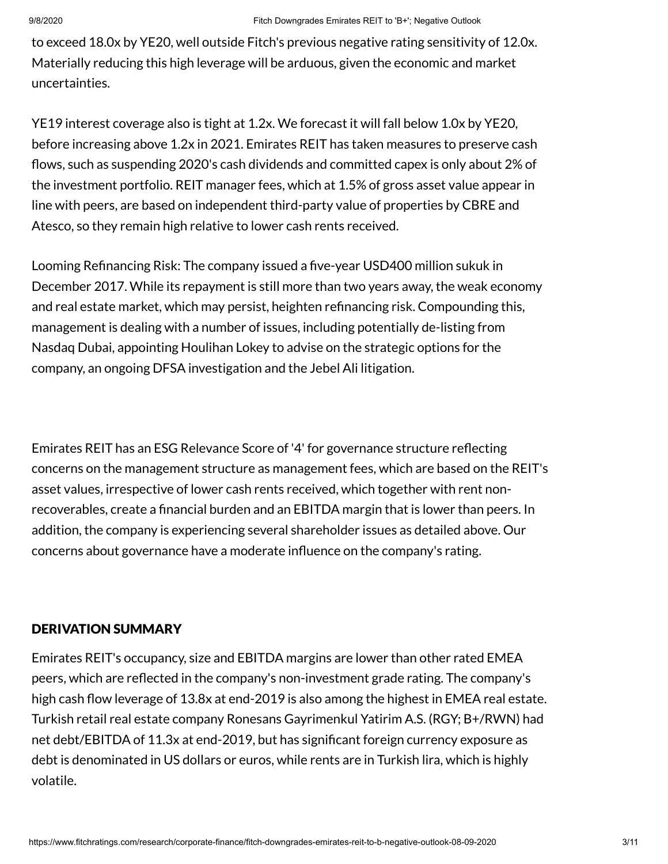to exceed 18.0x by YE20, well outside Fitch's previous negative rating sensitivity of 12.0x. Materially reducing this high leverage will be arduous, given the economic and market uncertainties.

YE19 interest coverage also is tight at 1.2x. We forecast it will fall below 1.0x by YE20, before increasing above 1.2x in 2021. Emirates REIT has taken measures to preserve cash flows, such as suspending 2020's cash dividends and committed capex is only about 2% of the investment portfolio. REIT manager fees, which at 1.5% of gross asset value appear in line with peers, are based on independent third-party value of properties by CBRE and Atesco, so they remain high relative to lower cash rents received.

Looming Refinancing Risk: The company issued a five-year USD400 million sukuk in December 2017. While its repayment is still more than two years away, the weak economy and real estate market, which may persist, heighten refinancing risk. Compounding this, management is dealing with a number of issues, including potentially de-listing from Nasdaq Dubai, appointing Houlihan Lokey to advise on the strategic options for the company, an ongoing DFSA investigation and the Jebel Ali litigation.

Emirates REIT has an ESG Relevance Score of '4' for governance structure reflecting concerns on the management structure as management fees, which are based on the REIT's asset values, irrespective of lower cash rents received, which together with rent nonrecoverables, create a financial burden and an EBITDA margin that is lower than peers. In addition, the company is experiencing several shareholder issues as detailed above. Our concerns about governance have a moderate influence on the company's rating.

#### DERIVATION SUMMARY

Emirates REIT's occupancy, size and EBITDA margins are lower than other rated EMEA peers, which are reflected in the company's non-investment grade rating. The company's high cash flow leverage of 13.8x at end-2019 is also among the highest in EMEA real estate. Turkish retail real estate company Ronesans Gayrimenkul Yatirim A.S. (RGY; B+/RWN) had net debt/EBITDA of 11.3x at end-2019, but has significant foreign currency exposure as debt is denominated in US dollars or euros, while rents are in Turkish lira, which is highly volatile.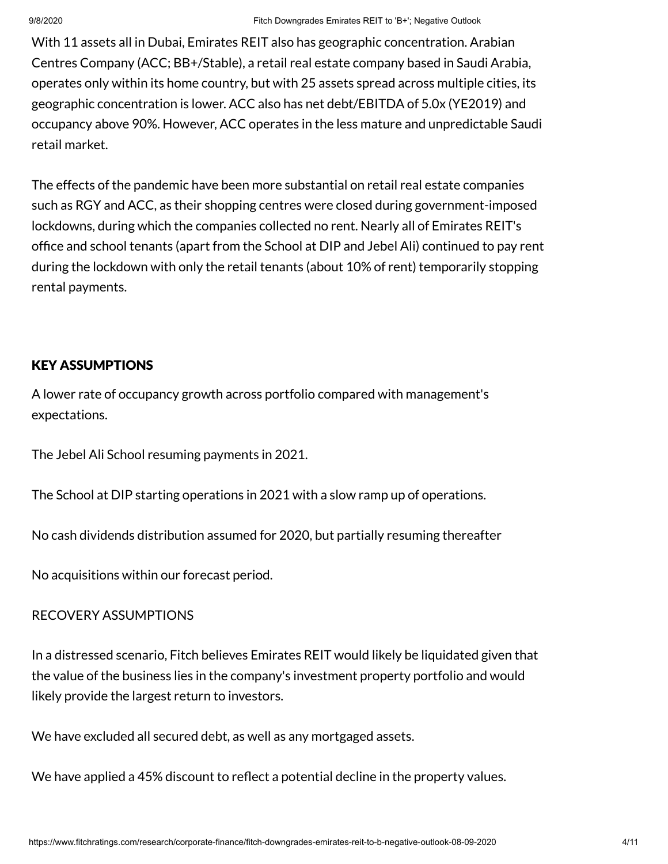With 11 assets all in Dubai, Emirates REIT also has geographic concentration. Arabian Centres Company (ACC; BB+/Stable), a retail real estate company based in Saudi Arabia, operates only within its home country, but with 25 assets spread across multiple cities, its geographic concentration is lower. ACC also has net debt/EBITDA of 5.0x (YE2019) and occupancy above 90%. However, ACC operates in the less mature and unpredictable Saudi retail market.

The effects of the pandemic have been more substantial on retail real estate companies such as RGY and ACC, as their shopping centres were closed during government-imposed lockdowns, during which the companies collected no rent. Nearly all of Emirates REIT's office and school tenants (apart from the School at DIP and Jebel Ali) continued to pay rent during the lockdown with only the retail tenants (about 10% of rent) temporarily stopping rental payments.

#### KEY ASSUMPTIONS

A lower rate of occupancy growth across portfolio compared with management's expectations.

The Jebel Ali School resuming payments in 2021.

The School at DIP starting operations in 2021 with a slow ramp up of operations.

No cash dividends distribution assumed for 2020, but partially resuming thereafter

No acquisitions within our forecast period.

#### RECOVERY ASSUMPTIONS

In a distressed scenario, Fitch believes Emirates REIT would likely be liquidated given that the value of the business lies in the company's investment property portfolio and would likely provide the largest return to investors.

We have excluded all secured debt, as well as any mortgaged assets.

We have applied a 45% discount to reflect a potential decline in the property values.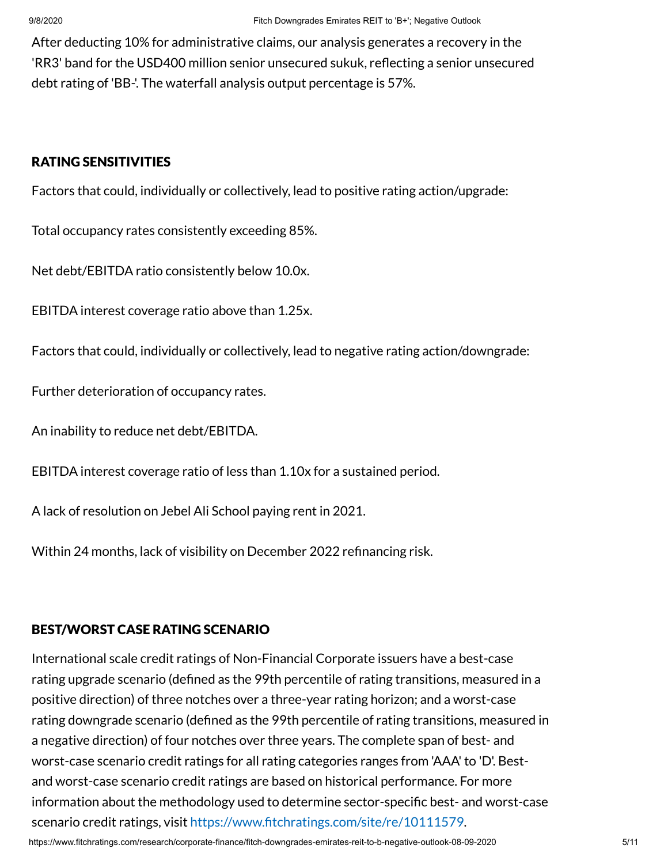After deducting 10% for administrative claims, our analysis generates a recovery in the 'RR3' band for the USD400 million senior unsecured sukuk, reflecting a senior unsecured debt rating of 'BB-'. The waterfall analysis output percentage is 57%.

#### RATING SENSITIVITIES

Factors that could, individually or collectively, lead to positive rating action/upgrade:

Total occupancy rates consistently exceeding 85%.

Net debt/EBITDA ratio consistently below 10.0x.

EBITDA interest coverage ratio above than 1.25x.

Factors that could, individually or collectively, lead to negative rating action/downgrade:

Further deterioration of occupancy rates.

An inability to reduce net debt/EBITDA.

EBITDA interest coverage ratio of less than 1.10x for a sustained period.

A lack of resolution on Jebel Ali School paying rent in 2021.

Within 24 months, lack of visibility on December 2022 refinancing risk.

#### BEST/WORST CASE RATING SCENARIO

International scale credit ratings of Non-Financial Corporate issuers have a best-case rating upgrade scenario (defined as the 99th percentile of rating transitions, measured in a positive direction) of three notches over a three-year rating horizon; and a worst-case rating downgrade scenario (defined as the 99th percentile of rating transitions, measured in a negative direction) of four notches over three years. The complete span of best- and worst-case scenario credit ratings for all rating categories ranges from 'AAA' to 'D'. Bestand worst-case scenario credit ratings are based on historical performance. For more information about the methodology used to determine sector-specific best- and worst-case scenario credit ratings, visit [https://www.fitchratings.com/site/re/10111579.](https://www.fitchratings.com/site/re/10111579)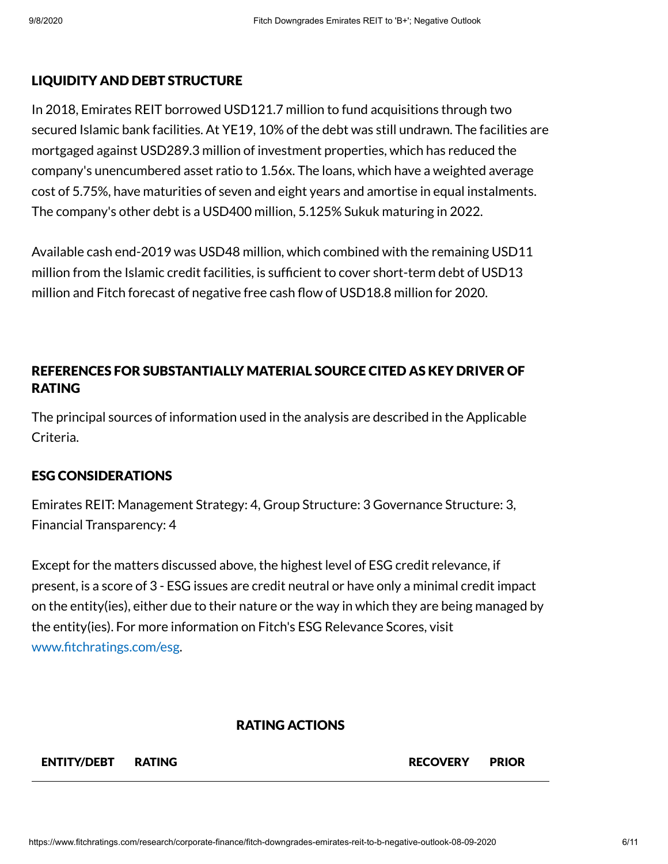#### LIQUIDITY AND DEBT STRUCTURE

In 2018, Emirates REIT borrowed USD121.7 million to fund acquisitions through two secured Islamic bank facilities. At YE19, 10% of the debt was still undrawn. The facilities are mortgaged against USD289.3 million of investment properties, which has reduced the company's unencumbered asset ratio to 1.56x. The loans, which have a weighted average cost of 5.75%, have maturities of seven and eight years and amortise in equal instalments. The company's other debt is a USD400 million, 5.125% Sukuk maturing in 2022.

Available cash end-2019 was USD48 million, which combined with the remaining USD11 million from the Islamic credit facilities, is sufficient to cover short-term debt of USD13 million and Fitch forecast of negative free cash flow of USD18.8 million for 2020.

# REFERENCES FOR SUBSTANTIALLY MATERIAL SOURCE CITED AS KEY DRIVER OF RATING

The principal sources of information used in the analysis are described in the Applicable Criteria.

#### ESG CONSIDERATIONS

Emirates REIT: Management Strategy: 4, Group Structure: 3 Governance Structure: 3, Financial Transparency: 4

Except for the matters discussed above, the highest level of ESG credit relevance, if present, is a score of 3 - ESG issues are credit neutral or have only a minimal credit impact on the entity(ies), either due to their nature or the way in which they are being managed by the entity(ies). For more information on Fitch's ESG Relevance Scores, visit [www.fitchratings.com/esg.](http://www.fitchratings.com/esg)

#### RATING ACTIONS

ENTITY/DEBT RATING RECOVERY PRIOR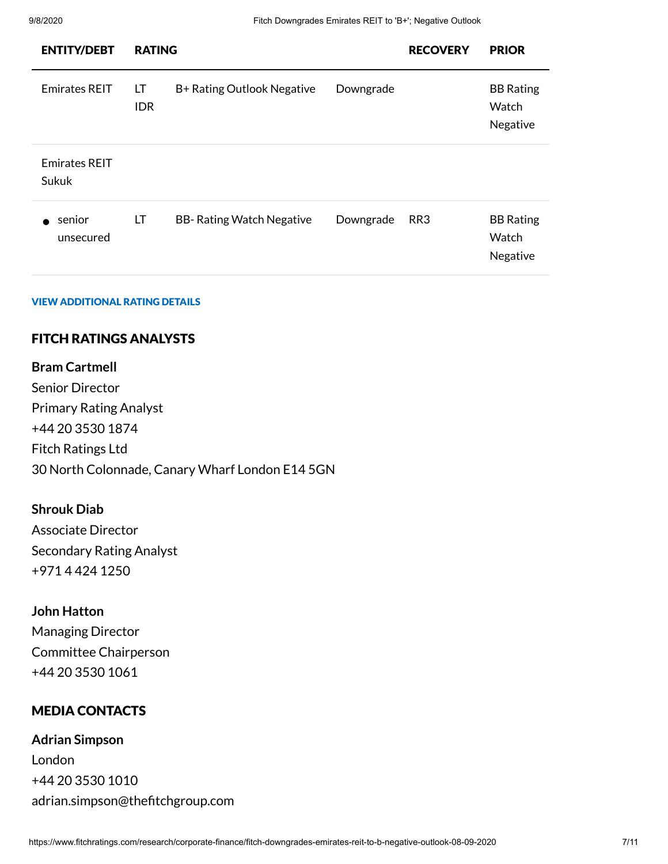| <b>ENTITY/DEBT</b>            | <b>RATING</b>    |                                 |           | <b>RECOVERY</b> | <b>PRIOR</b>                          |
|-------------------------------|------------------|---------------------------------|-----------|-----------------|---------------------------------------|
| <b>Emirates REIT</b>          | LT<br><b>IDR</b> | B+ Rating Outlook Negative      | Downgrade |                 | <b>BB</b> Rating<br>Watch<br>Negative |
| <b>Emirates REIT</b><br>Sukuk |                  |                                 |           |                 |                                       |
| senior<br>unsecured           | LT               | <b>BB-Rating Watch Negative</b> | Downgrade | RR <sub>3</sub> | <b>BB</b> Rating<br>Watch<br>Negative |

#### VIEW ADDITIONAL RATING DETAILS

#### FITCH RATINGS ANALYSTS

#### **Bram Cartmell**

Senior Director Primary Rating Analyst +44 20 3530 1874 Fitch Ratings Ltd 30 North Colonnade, Canary Wharf London E14 5GN

#### **Shrouk Diab**

Associate Director Secondary Rating Analyst +971 4 424 1250

#### **John Hatton**

Managing Director Committee Chairperson +44 20 3530 1061

#### MEDIA CONTACTS

**Adrian Simpson** London +44 20 3530 1010 adrian.simpson@thefitchgroup.com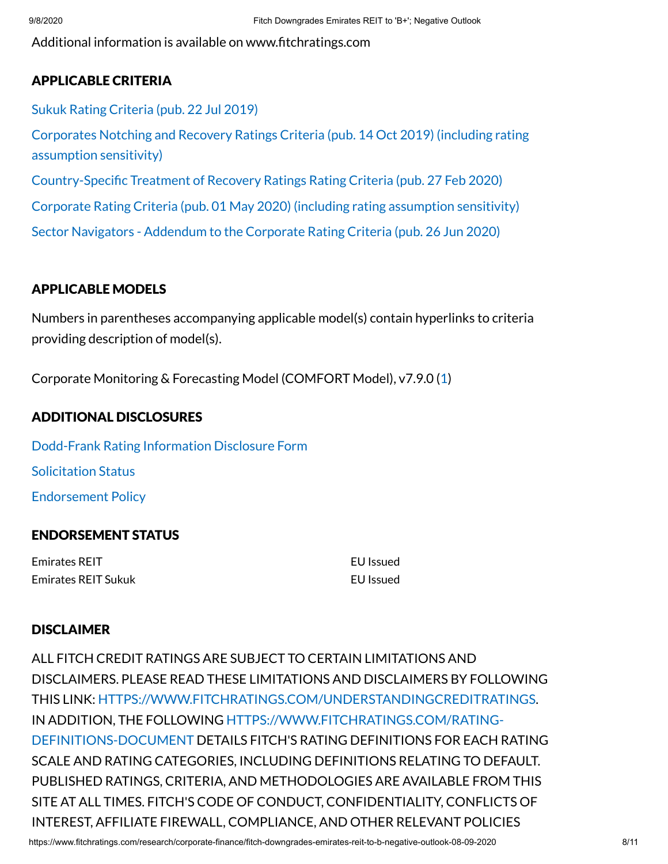Additional information is available on www.fitchratings.com

# APPLICABLE CRITERIA

Sukuk Rating [Criteria](https://www.fitchratings.com/research/islamic-finance/sukuk-rating-criteria-22-07-2019) (pub. 22 Jul 2019) Corporates Notching and Recovery [Ratings Criteria](https://www.fitchratings.com/research/corporate-finance/corporates-notching-recovery-ratings-criteria-14-10-2019) (pub. 14 Oct 2019) (including rating assumption sensitivity) [Country-Specific Treatment](https://www.fitchratings.com/research/corporate-finance/country-specific-treatment-of-recovery-ratings-rating-criteria-27-02-2020) of Recovery Ratings Rating Criteria (pub. 27 Feb 2020) Corporate Rating Criteria (pub. 01 May 2020) (including rating [assumption](https://www.fitchratings.com/research/corporate-finance/corporate-rating-criteria-01-05-2020) sensitivity) Sector Navigators - [Addendum](https://www.fitchratings.com/research/corporate-finance/sector-navigators-addendum-to-corporate-rating-criteria-26-06-2020) to the Corporate Rating Criteria (pub. 26 Jun 2020)

# APPLICABLE MODELS

Numbers in parentheses accompanying applicable model(s) contain hyperlinks to criteria providing description of model(s).

Corporate Monitoring & Forecasting Model (COMFORT Model), v7.9.0 ([1\)](https://www.fitchratings.com/site/re/973270)

#### ADDITIONAL DISCLOSURES

[Dodd-Frank](https://www.fitchratings.com/research/corporate-finance/fitch-downgrades-emirates-reit-to-b-negative-outlook-08-09-2020/dodd-frank-disclosure) Rating Information Disclosure Form [Solicitation](#page-10-0) Status [Endorsement](#page-10-1) Policy

# ENDORSEMENT STATUS

Emirates REIT EU Issued Emirates REIT Sukuk **EU Issued** 

# **DISCLAIMER**

ALL FITCH CREDIT RATINGS ARE SUBJECT TO CERTAIN LIMITATIONS AND DISCLAIMERS. PLEASE READ THESE LIMITATIONS AND DISCLAIMERS BY FOLLOWING THIS LINK: [HTTPS://WWW.FITCHRATINGS.COM/UNDERSTANDINGCREDITRATINGS](https://www.fitchratings.com/UNDERSTANDINGCREDITRATINGS). IN ADDITION, THE FOLLOWING [HTTPS://WWW.FITCHRATINGS.COM/RATING-](https://www.fitchratings.com/rating-definitions-document)DEFINITIONS-DOCUMENT DETAILS FITCH'S RATING DEFINITIONS FOR EACH RATING SCALE AND RATING CATEGORIES, INCLUDING DEFINITIONS RELATING TO DEFAULT. PUBLISHED RATINGS, CRITERIA, AND METHODOLOGIES ARE AVAILABLE FROM THIS SITE AT ALL TIMES. FITCH'S CODE OF CONDUCT, CONFIDENTIALITY, CONFLICTS OF INTEREST, AFFILIATE FIREWALL, COMPLIANCE, AND OTHER RELEVANT POLICIES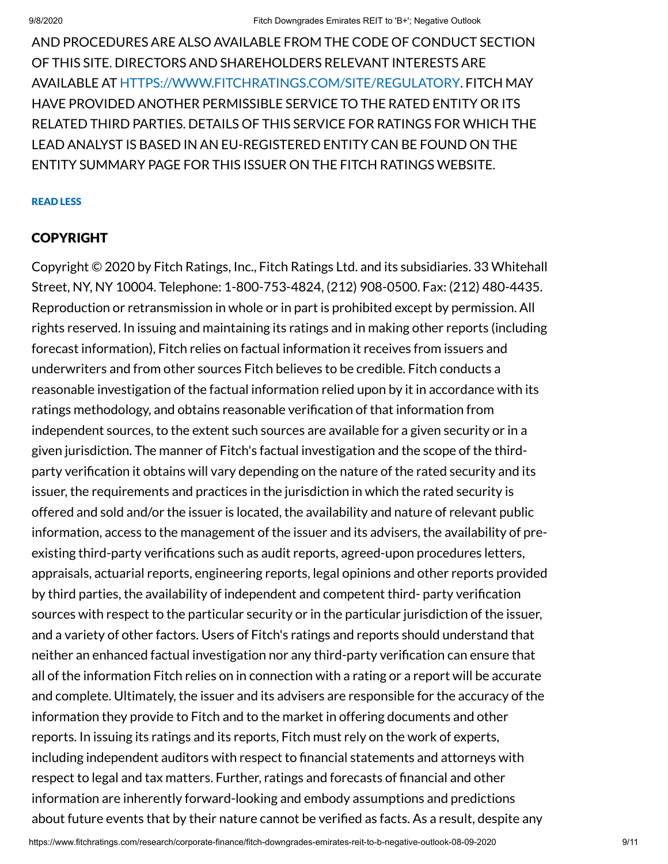AND PROCEDURES ARE ALSO AVAILABLE FROM THE CODE OF CONDUCT SECTION OF THIS SITE. DIRECTORS AND SHAREHOLDERS RELEVANT INTERESTS ARE AVAILABLE AT [HTTPS://WWW.FITCHRATINGS.COM/SITE/REGULATORY](https://www.fitchratings.com/site/regulatory). FITCH MAY HAVE PROVIDED ANOTHER PERMISSIBLE SERVICE TO THE RATED ENTITY OR ITS RELATED THIRD PARTIES. DETAILS OF THIS SERVICE FOR RATINGS FOR WHICH THE LEAD ANALYST IS BASED IN AN EU-REGISTERED ENTITY CAN BE FOUND ON THE ENTITY SUMMARY PAGE FOR THIS ISSUER ON THE FITCH RATINGS WEBSITE.

#### READ LESS

#### COPYRIGHT

Copyright © 2020 by Fitch Ratings, Inc., Fitch Ratings Ltd. and its subsidiaries. 33 Whitehall Street, NY, NY 10004. Telephone: 1-800-753-4824, (212) 908-0500. Fax: (212) 480-4435. Reproduction or retransmission in whole or in part is prohibited except by permission. All rights reserved. In issuing and maintaining its ratings and in making other reports (including forecast information), Fitch relies on factual information it receives from issuers and underwriters and from other sources Fitch believes to be credible. Fitch conducts a reasonable investigation of the factual information relied upon by it in accordance with its ratings methodology, and obtains reasonable verification of that information from independent sources, to the extent such sources are available for a given security or in a given jurisdiction. The manner of Fitch's factual investigation and the scope of the thirdparty verification it obtains will vary depending on the nature of the rated security and its issuer, the requirements and practices in the jurisdiction in which the rated security is offered and sold and/or the issuer is located, the availability and nature of relevant public information, access to the management of the issuer and its advisers, the availability of preexisting third-party verifications such as audit reports, agreed-upon procedures letters, appraisals, actuarial reports, engineering reports, legal opinions and other reports provided by third parties, the availability of independent and competent third- party verification sources with respect to the particular security or in the particular jurisdiction of the issuer, and a variety of other factors. Users of Fitch's ratings and reports should understand that neither an enhanced factual investigation nor any third-party verification can ensure that all of the information Fitch relies on in connection with a rating or a report will be accurate and complete. Ultimately, the issuer and its advisers are responsible for the accuracy of the information they provide to Fitch and to the market in offering documents and other reports. In issuing its ratings and its reports, Fitch must rely on the work of experts, including independent auditors with respect to financial statements and attorneys with respect to legal and tax matters. Further, ratings and forecasts of financial and other information are inherently forward-looking and embody assumptions and predictions about future events that by their nature cannot be verified as facts. As a result, despite any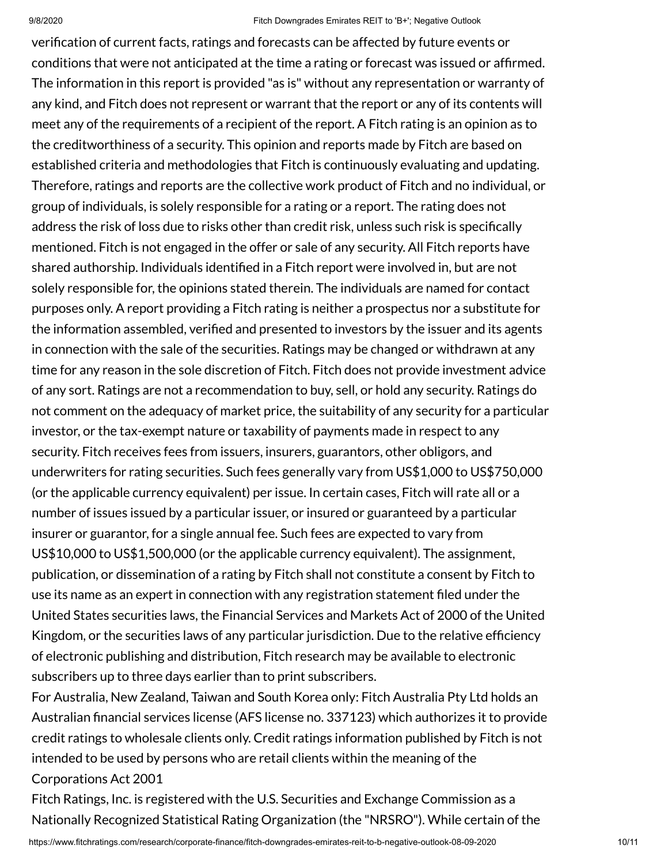verification of current facts, ratings and forecasts can be affected by future events or conditions that were not anticipated at the time a rating or forecast was issued or affirmed. The information in this report is provided "as is" without any representation or warranty of any kind, and Fitch does not represent or warrant that the report or any of its contents will meet any of the requirements of a recipient of the report. A Fitch rating is an opinion as to the creditworthiness of a security. This opinion and reports made by Fitch are based on established criteria and methodologies that Fitch is continuously evaluating and updating. Therefore, ratings and reports are the collective work product of Fitch and no individual, or group of individuals, is solely responsible for a rating or a report. The rating does not address the risk of loss due to risks other than credit risk, unless such risk is specifically mentioned. Fitch is not engaged in the offer or sale of any security. All Fitch reports have shared authorship. Individuals identified in a Fitch report were involved in, but are not solely responsible for, the opinions stated therein. The individuals are named for contact purposes only. A report providing a Fitch rating is neither a prospectus nor a substitute for the information assembled, verified and presented to investors by the issuer and its agents in connection with the sale of the securities. Ratings may be changed or withdrawn at any time for any reason in the sole discretion of Fitch. Fitch does not provide investment advice of any sort. Ratings are not a recommendation to buy, sell, or hold any security. Ratings do not comment on the adequacy of market price, the suitability of any security for a particular investor, or the tax-exempt nature or taxability of payments made in respect to any security. Fitch receives fees from issuers, insurers, guarantors, other obligors, and underwriters for rating securities. Such fees generally vary from US\$1,000 to US\$750,000 (or the applicable currency equivalent) per issue. In certain cases, Fitch will rate all or a number of issues issued by a particular issuer, or insured or guaranteed by a particular insurer or guarantor, for a single annual fee. Such fees are expected to vary from US\$10,000 to US\$1,500,000 (or the applicable currency equivalent). The assignment, publication, or dissemination of a rating by Fitch shall not constitute a consent by Fitch to use its name as an expert in connection with any registration statement filed under the United States securities laws, the Financial Services and Markets Act of 2000 of the United Kingdom, or the securities laws of any particular jurisdiction. Due to the relative efficiency of electronic publishing and distribution, Fitch research may be available to electronic subscribers up to three days earlier than to print subscribers.

For Australia, New Zealand, Taiwan and South Korea only: Fitch Australia Pty Ltd holds an Australian financial services license (AFS license no. 337123) which authorizes it to provide credit ratings to wholesale clients only. Credit ratings information published by Fitch is not intended to be used by persons who are retail clients within the meaning of the Corporations Act 2001

Fitch Ratings, Inc. is registered with the U.S. Securities and Exchange Commission as a Nationally Recognized Statistical Rating Organization (the "NRSRO"). While certain of the